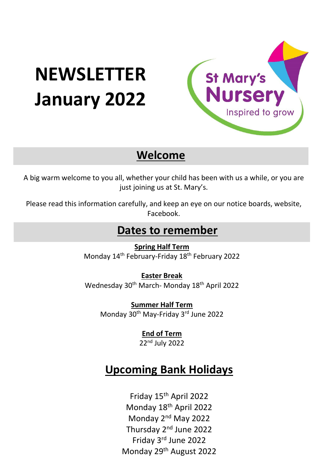# **NEWSLETTER January 2022**



## **Welcome**

A big warm welcome to you all, whether your child has been with us a while, or you are just joining us at St. Mary's.

Please read this information carefully, and keep an eye on our notice boards, website, Facebook.

### **Dates to remember**

**Spring Half Term** Monday 14<sup>th</sup> February-Friday 18<sup>th</sup> February 2022

**Easter Break**  Wednesday 30th March- Monday 18th April 2022

**Summer Half Term**  Monday 30<sup>th</sup> May-Friday 3<sup>rd</sup> June 2022

> **End of Term** 22nd July 2022

## **Upcoming Bank Holidays**

Friday 15th April 2022 Monday 18th April 2022 Monday 2nd May 2022 Thursday 2nd June 2022 Friday 3rd June 2022 Monday 29th August 2022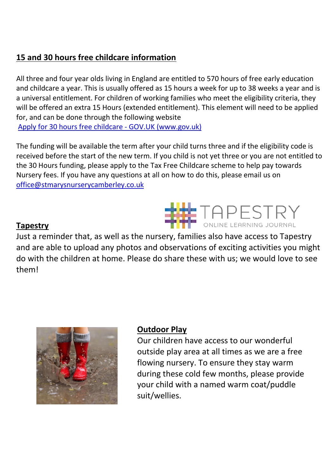#### **15 and 30 hours free childcare information**

All three and four year olds living in England are entitled to 570 hours of free early education and childcare a year. This is usually offered as 15 hours a week for up to 38 weeks a year and is a universal entitlement. For children of working families who meet the eligibility criteria, they will be offered an extra 15 Hours (extended entitlement). This element will need to be applied for, and can be done through the following website

[Apply for 30 hours free childcare -](https://www.gov.uk/apply-30-hours-free-childcare) GOV.UK (www.gov.uk)

The funding will be available the term after your child turns three and if the eligibility code is received before the start of the new term. If you child is not yet three or you are not entitled to the 30 Hours funding, please apply to the Tax Free Childcare scheme to help pay towards Nursery fees. If you have any questions at all on how to do this, please email us on [office@stmarysnurserycamberley.co.uk](mailto:office@stmarysnurserycamberley.co.uk)

#### **Tapestry**

**TAPESTRY** Just a reminder that, as well as the nursery, families also have access to Tapestry and are able to upload any photos and observations of exciting activities you might do with the children at home. Please do share these with us; we would love to see them!



#### **Outdoor Play**

Our children have access to our wonderful outside play area at all times as we are a free flowing nursery. To ensure they stay warm during these cold few months, please provide your child with a named warm coat/puddle suit/wellies.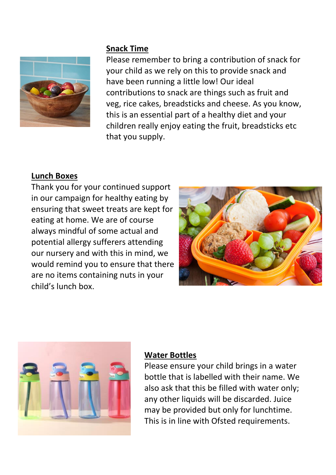

#### **Snack Time**

Please remember to bring a contribution of snack for your child as we rely on this to provide snack and have been running a little low! Our ideal contributions to snack are things such as fruit and veg, rice cakes, breadsticks and cheese. As you know, this is an essential part of a healthy diet and your children really enjoy eating the fruit, breadsticks etc that you supply.

#### **Lunch Boxes**

Thank you for your continued support in our campaign for healthy eating by ensuring that sweet treats are kept for eating at home. We are of course always mindful of some actual and potential allergy sufferers attending our nursery and with this in mind, we would remind you to ensure that there are no items containing nuts in your child's lunch box.





#### **Water Bottles**

Please ensure your child brings in a water bottle that is labelled with their name. We also ask that this be filled with water only; any other liquids will be discarded. Juice may be provided but only for lunchtime. This is in line with Ofsted requirements.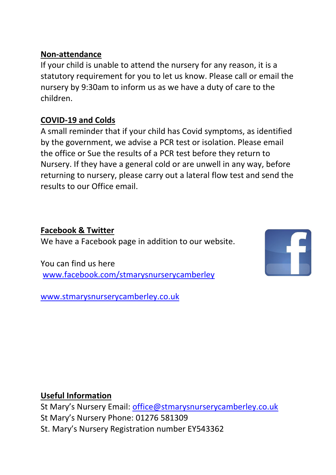#### **Non-attendance**

If your child is unable to attend the nursery for any reason, it is a statutory requirement for you to let us know. Please call or email the nursery by 9:30am to inform us as we have a duty of care to the children.

#### **COVID-19 and Colds**

A small reminder that if your child has Covid symptoms, as identified by the government, we advise a PCR test or isolation. Please email the office or Sue the results of a PCR test before they return to Nursery. If they have a general cold or are unwell in any way, before returning to nursery, please carry out a lateral flow test and send the results to our Office email.

**Facebook & Twitter**  We have a Facebook page in addition to our website.

You can find us here [www.facebook.com/stmarysnurserycamberley](http://www.facebook.com/stmarysnurserycamberley)

[www.stmarysnurserycamberley.co.uk](http://www.stmarysnurserycamberley.co.uk/)



#### **Useful Information**

St Mary's Nursery Email: [office@stmarysnurserycamberley.co.uk](mailto:office@stmarysnurserycamberley.co.uk) St Mary's Nursery Phone: 01276 581309 St. Mary's Nursery Registration number EY543362